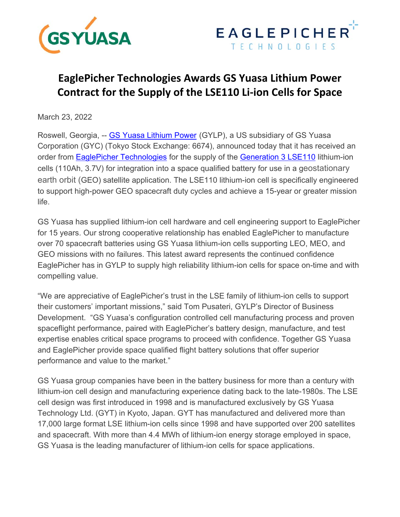



# **EaglePicher Technologies Awards GS Yuasa Lithium Power Contract for the Supply of the LSE110 Li‐ion Cells for Space**

March 23, 2022

Roswell, Georgia, -- GS Yuasa Lithium Power (GYLP), a US subsidiary of GS Yuasa Corporation (GYC) (Tokyo Stock Exchange: 6674), announced today that it has received an order from **EaglePicher Technologies** for the supply of the **Generation 3 LSE110** lithium-ion cells (110Ah, 3.7V) for integration into a space qualified battery for use in a geostationary earth orbit (GEO) satellite application. The LSE110 lithium-ion cell is specifically engineered to support high-power GEO spacecraft duty cycles and achieve a 15-year or greater mission life.

GS Yuasa has supplied lithium-ion cell hardware and cell engineering support to EaglePicher for 15 years. Our strong cooperative relationship has enabled EaglePicher to manufacture over 70 spacecraft batteries using GS Yuasa lithium-ion cells supporting LEO, MEO, and GEO missions with no failures. This latest award represents the continued confidence EaglePicher has in GYLP to supply high reliability lithium-ion cells for space on-time and with compelling value.

"We are appreciative of EaglePicher's trust in the LSE family of lithium-ion cells to support their customers' important missions," said Tom Pusateri, GYLP's Director of Business Development. "GS Yuasa's configuration controlled cell manufacturing process and proven spaceflight performance, paired with EaglePicher's battery design, manufacture, and test expertise enables critical space programs to proceed with confidence. Together GS Yuasa and EaglePicher provide space qualified flight battery solutions that offer superior performance and value to the market."

GS Yuasa group companies have been in the battery business for more than a century with lithium-ion cell design and manufacturing experience dating back to the late-1980s. The LSE cell design was first introduced in 1998 and is manufactured exclusively by GS Yuasa Technology Ltd. (GYT) in Kyoto, Japan. GYT has manufactured and delivered more than 17,000 large format LSE lithium-ion cells since 1998 and have supported over 200 satellites and spacecraft. With more than 4.4 MWh of lithium-ion energy storage employed in space, GS Yuasa is the leading manufacturer of lithium-ion cells for space applications.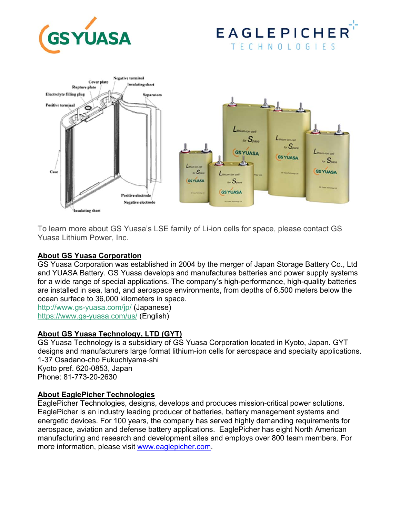





To learn more about GS Yuasa's LSE family of Li-ion cells for space, please contact GS Yuasa Lithium Power, Inc.

## **About GS Yuasa Corporation**

GS Yuasa Corporation was established in 2004 by the merger of Japan Storage Battery Co., Ltd and YUASA Battery. GS Yuasa develops and manufactures batteries and power supply systems for a wide range of special applications. The company's high-performance, high-quality batteries are installed in sea, land, and aerospace environments, from depths of 6,500 meters below the ocean surface to 36,000 kilometers in space.

http://www.gs-yuasa.com/jp/ (Japanese) https://www.gs-yuasa.com/us/ (English)

## **About GS Yuasa Technology, LTD (GYT)**

GS Yuasa Technology is a subsidiary of GS Yuasa Corporation located in Kyoto, Japan. GYT designs and manufacturers large format lithium-ion cells for aerospace and specialty applications. 1-37 Osadano-cho Fukuchiyama-shi Kyoto pref. 620-0853, Japan Phone: 81-773-20-2630

## **About EaglePicher Technologies**

EaglePicher Technologies, designs, develops and produces mission-critical power solutions. EaglePicher is an industry leading producer of batteries, battery management systems and energetic devices. For 100 years, the company has served highly demanding requirements for aerospace, aviation and defense battery applications. EaglePicher has eight North American manufacturing and research and development sites and employs over 800 team members. For more information, please visit www.eaglepicher.com.